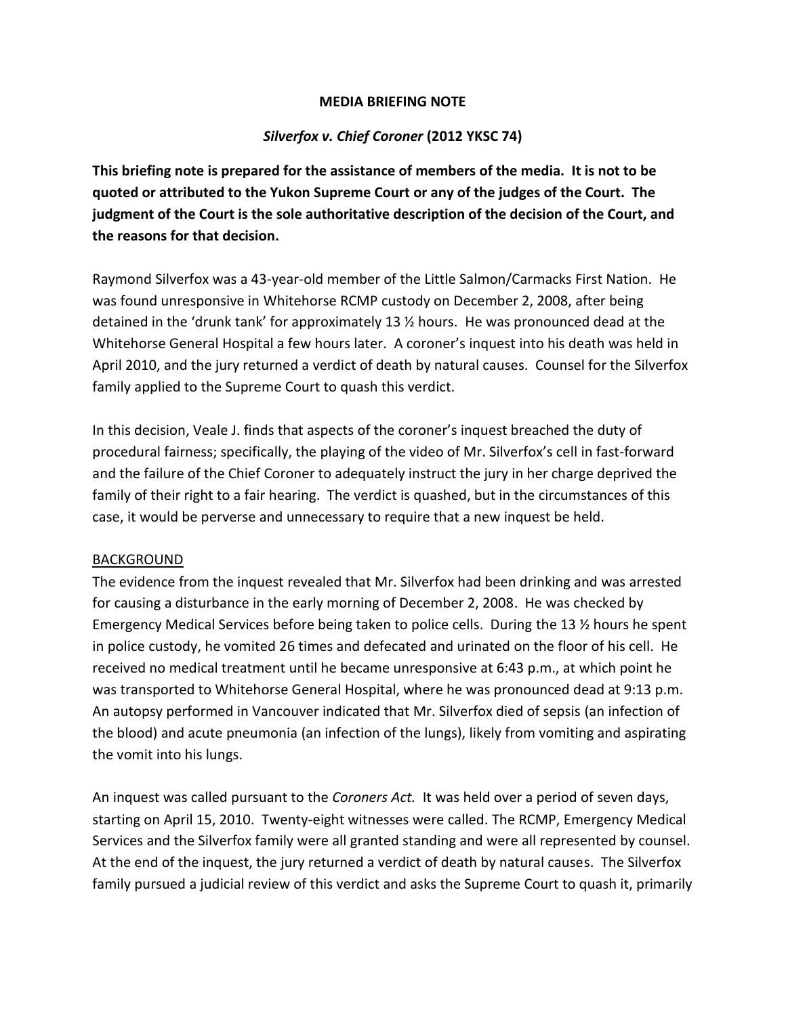#### **MEDIA BRIEFING NOTE**

### *Silverfox v. Chief Coroner* **(2012 YKSC 74)**

**This briefing note is prepared for the assistance of members of the media. It is not to be quoted or attributed to the Yukon Supreme Court or any of the judges of the Court. The judgment of the Court is the sole authoritative description of the decision of the Court, and the reasons for that decision.**

Raymond Silverfox was a 43-year-old member of the Little Salmon/Carmacks First Nation. He was found unresponsive in Whitehorse RCMP custody on December 2, 2008, after being detained in the 'drunk tank' for approximately 13 ½ hours. He was pronounced dead at the Whitehorse General Hospital a few hours later. A coroner's inquest into his death was held in April 2010, and the jury returned a verdict of death by natural causes. Counsel for the Silverfox family applied to the Supreme Court to quash this verdict.

In this decision, Veale J. finds that aspects of the coroner's inquest breached the duty of procedural fairness; specifically, the playing of the video of Mr. Silverfox's cell in fast-forward and the failure of the Chief Coroner to adequately instruct the jury in her charge deprived the family of their right to a fair hearing. The verdict is quashed, but in the circumstances of this case, it would be perverse and unnecessary to require that a new inquest be held.

#### BACKGROUND

The evidence from the inquest revealed that Mr. Silverfox had been drinking and was arrested for causing a disturbance in the early morning of December 2, 2008. He was checked by Emergency Medical Services before being taken to police cells. During the 13 ½ hours he spent in police custody, he vomited 26 times and defecated and urinated on the floor of his cell. He received no medical treatment until he became unresponsive at 6:43 p.m., at which point he was transported to Whitehorse General Hospital, where he was pronounced dead at 9:13 p.m. An autopsy performed in Vancouver indicated that Mr. Silverfox died of sepsis (an infection of the blood) and acute pneumonia (an infection of the lungs), likely from vomiting and aspirating the vomit into his lungs.

An inquest was called pursuant to the *Coroners Act.* It was held over a period of seven days, starting on April 15, 2010. Twenty-eight witnesses were called. The RCMP, Emergency Medical Services and the Silverfox family were all granted standing and were all represented by counsel. At the end of the inquest, the jury returned a verdict of death by natural causes. The Silverfox family pursued a judicial review of this verdict and asks the Supreme Court to quash it, primarily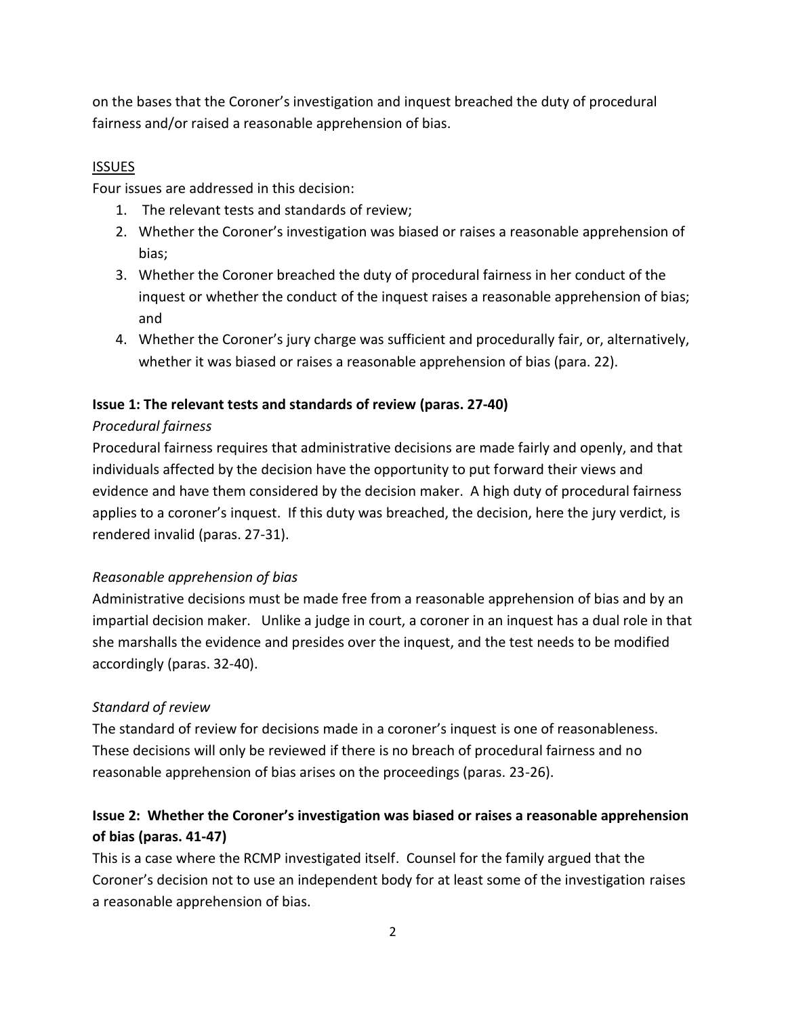on the bases that the Coroner's investigation and inquest breached the duty of procedural fairness and/or raised a reasonable apprehension of bias.

#### ISSUES

Four issues are addressed in this decision:

- 1. The relevant tests and standards of review;
- 2. Whether the Coroner's investigation was biased or raises a reasonable apprehension of bias;
- 3. Whether the Coroner breached the duty of procedural fairness in her conduct of the inquest or whether the conduct of the inquest raises a reasonable apprehension of bias; and
- 4. Whether the Coroner's jury charge was sufficient and procedurally fair, or, alternatively, whether it was biased or raises a reasonable apprehension of bias (para. 22).

### **Issue 1: The relevant tests and standards of review (paras. 27-40)**

### *Procedural fairness*

Procedural fairness requires that administrative decisions are made fairly and openly, and that individuals affected by the decision have the opportunity to put forward their views and evidence and have them considered by the decision maker. A high duty of procedural fairness applies to a coroner's inquest. If this duty was breached, the decision, here the jury verdict, is rendered invalid (paras. 27-31).

### *Reasonable apprehension of bias*

Administrative decisions must be made free from a reasonable apprehension of bias and by an impartial decision maker. Unlike a judge in court, a coroner in an inquest has a dual role in that she marshalls the evidence and presides over the inquest, and the test needs to be modified accordingly (paras. 32-40).

## *Standard of review*

The standard of review for decisions made in a coroner's inquest is one of reasonableness. These decisions will only be reviewed if there is no breach of procedural fairness and no reasonable apprehension of bias arises on the proceedings (paras. 23-26).

# **Issue 2: Whether the Coroner's investigation was biased or raises a reasonable apprehension of bias (paras. 41-47)**

This is a case where the RCMP investigated itself. Counsel for the family argued that the Coroner's decision not to use an independent body for at least some of the investigation raises a reasonable apprehension of bias.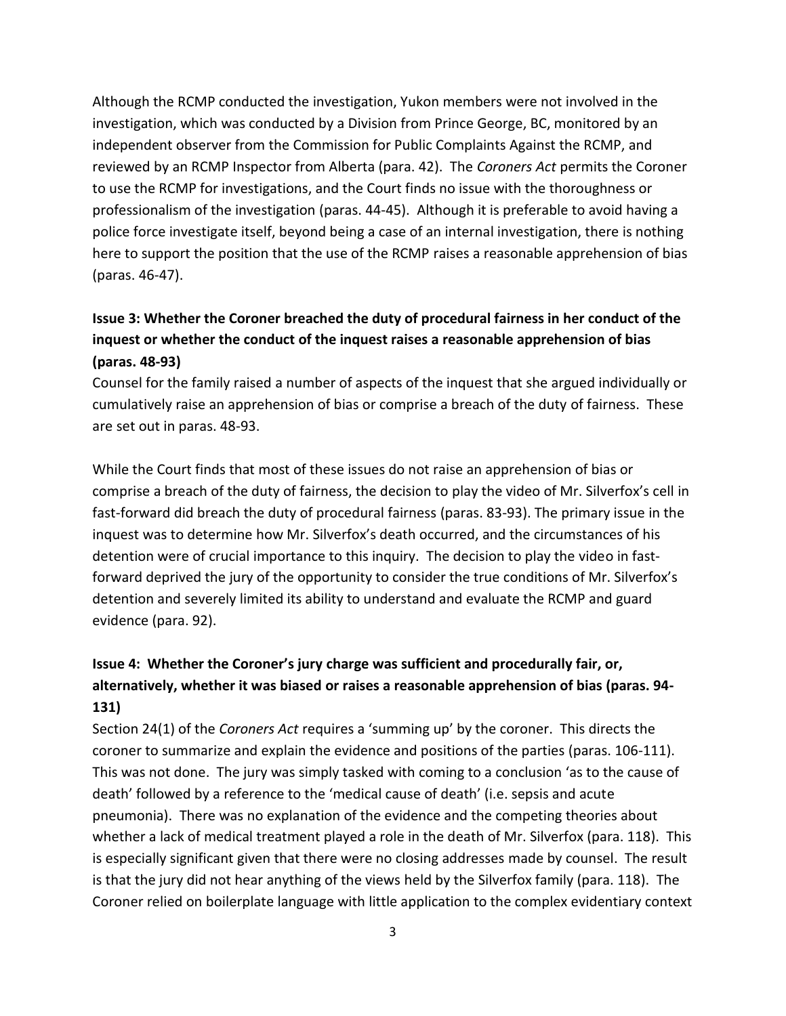Although the RCMP conducted the investigation, Yukon members were not involved in the investigation, which was conducted by a Division from Prince George, BC, monitored by an independent observer from the Commission for Public Complaints Against the RCMP, and reviewed by an RCMP Inspector from Alberta (para. 42). The *Coroners Act* permits the Coroner to use the RCMP for investigations, and the Court finds no issue with the thoroughness or professionalism of the investigation (paras. 44-45). Although it is preferable to avoid having a police force investigate itself, beyond being a case of an internal investigation, there is nothing here to support the position that the use of the RCMP raises a reasonable apprehension of bias (paras. 46-47).

# **Issue 3: Whether the Coroner breached the duty of procedural fairness in her conduct of the inquest or whether the conduct of the inquest raises a reasonable apprehension of bias (paras. 48-93)**

Counsel for the family raised a number of aspects of the inquest that she argued individually or cumulatively raise an apprehension of bias or comprise a breach of the duty of fairness. These are set out in paras. 48-93.

While the Court finds that most of these issues do not raise an apprehension of bias or comprise a breach of the duty of fairness, the decision to play the video of Mr. Silverfox's cell in fast-forward did breach the duty of procedural fairness (paras. 83-93). The primary issue in the inquest was to determine how Mr. Silverfox's death occurred, and the circumstances of his detention were of crucial importance to this inquiry. The decision to play the video in fastforward deprived the jury of the opportunity to consider the true conditions of Mr. Silverfox's detention and severely limited its ability to understand and evaluate the RCMP and guard evidence (para. 92).

# **Issue 4: Whether the Coroner's jury charge was sufficient and procedurally fair, or, alternatively, whether it was biased or raises a reasonable apprehension of bias (paras. 94- 131)**

Section 24(1) of the *Coroners Act* requires a 'summing up' by the coroner. This directs the coroner to summarize and explain the evidence and positions of the parties (paras. 106-111). This was not done. The jury was simply tasked with coming to a conclusion 'as to the cause of death' followed by a reference to the 'medical cause of death' (i.e. sepsis and acute pneumonia). There was no explanation of the evidence and the competing theories about whether a lack of medical treatment played a role in the death of Mr. Silverfox (para. 118). This is especially significant given that there were no closing addresses made by counsel. The result is that the jury did not hear anything of the views held by the Silverfox family (para. 118). The Coroner relied on boilerplate language with little application to the complex evidentiary context